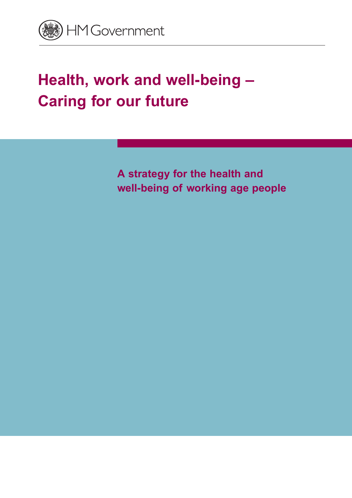

## **Health, work and well-being – Caring for our future**

**A strategy for the health and well-being of working age people**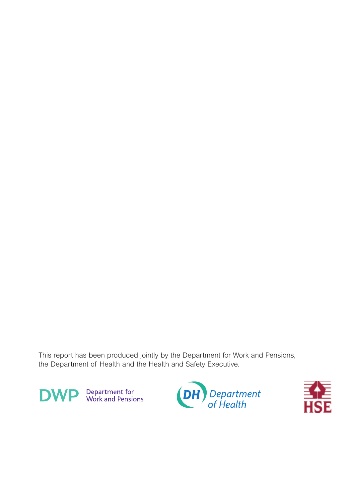This report has been produced jointly by the Department for Work and Pensions, the Department of Health and the Health and Safety Executive.





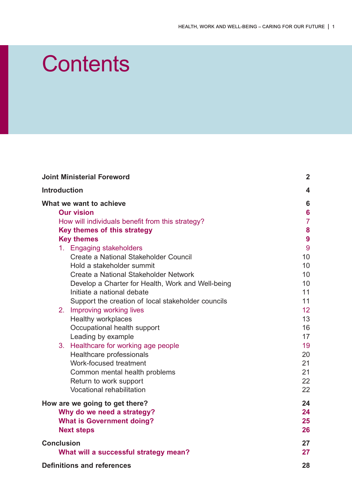## **Contents**

| <b>Joint Ministerial Foreword</b><br><b>Introduction</b><br>What we want to achieve |                                                    | $\boldsymbol{2}$ |
|-------------------------------------------------------------------------------------|----------------------------------------------------|------------------|
|                                                                                     |                                                    | 4                |
|                                                                                     |                                                    | $6\phantom{1}6$  |
| <b>Our vision</b>                                                                   |                                                    | $6\phantom{1}6$  |
| How will individuals benefit from this strategy?                                    |                                                    | $\overline{7}$   |
| Key themes of this strategy                                                         |                                                    | 8                |
| <b>Key themes</b>                                                                   |                                                    | 9                |
|                                                                                     | 1. Engaging stakeholders                           | 9                |
|                                                                                     | Create a National Stakeholder Council              | 10               |
|                                                                                     | Hold a stakeholder summit                          | 10               |
|                                                                                     | Create a National Stakeholder Network              | 10               |
|                                                                                     | Develop a Charter for Health, Work and Well-being  | 10               |
|                                                                                     | Initiate a national debate                         | 11               |
|                                                                                     | Support the creation of local stakeholder councils | 11               |
|                                                                                     | 2. Improving working lives                         | 12               |
|                                                                                     | <b>Healthy workplaces</b>                          | 13               |
|                                                                                     | Occupational health support                        | 16               |
|                                                                                     | Leading by example                                 | 17               |
|                                                                                     | 3. Healthcare for working age people               | 19               |
|                                                                                     | Healthcare professionals                           | 20               |
|                                                                                     | Work-focused treatment                             | 21               |
|                                                                                     | Common mental health problems                      | 21               |
|                                                                                     | Return to work support                             | 22               |
|                                                                                     | Vocational rehabilitation                          | 22               |
| How are we going to get there?                                                      |                                                    | 24               |
|                                                                                     | Why do we need a strategy?                         | 24               |
| <b>What is Government doing?</b>                                                    |                                                    | 25               |
|                                                                                     | <b>Next steps</b>                                  | 26               |
| <b>Conclusion</b>                                                                   |                                                    | 27               |
|                                                                                     | What will a successful strategy mean?              | 27               |
| <b>Definitions and references</b>                                                   |                                                    | 28               |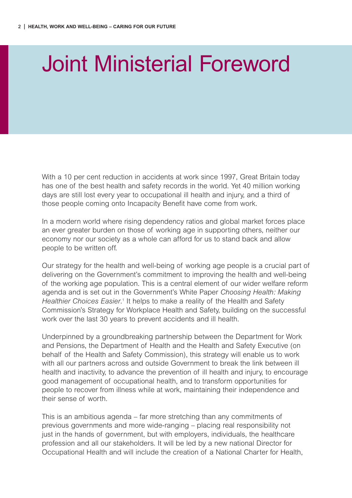## <span id="page-3-0"></span>Joint Ministerial Foreword

With a 10 per cent reduction in accidents at work since 1997, Great Britain today has one of the best health and safety records in the world. Yet 40 million working days are still lost every year to occupational ill health and injury, and a third of those people coming onto Incapacity Benefit have come from work.

In a modern world where rising dependency ratios and global market forces place an ever greater burden on those of working age in supporting others, neither our economy nor our society as a whole can afford for us to stand back and allow people to be written off.

Our strategy for the health and well-being of working age people is a crucial part of delivering on the Government's commitment to improving the health and well-being of the working age population. This is a central element of our wider welfare reform agenda and is set out in the Government's White Paper *Choosing Health: Making* Healthier Choices Easier.<sup>1</sup> It helps to make a reality of the Health and Safety Commission's Strategy for Workplace Health and Safety, building on the successful work over the last 30 years to prevent accidents and ill health.

Underpinned by a groundbreaking partnership between the Department for Work and Pensions, the Department of Health and the Health and Safety Executive (on behalf of the Health and Safety Commission), this strategy will enable us to work with all our partners across and outside Government to break the link between ill health and inactivity, to advance the prevention of ill health and injury, to encourage good management of occupational health, and to transform opportunities for people to recover from illness while at work, maintaining their independence and their sense of worth.

This is an ambitious agenda – far more stretching than any commitments of previous governments and more wide-ranging – placing real responsibility not just in the hands of government, but with employers, individuals, the healthcare profession and all our stakeholders. It will be led by a new national Director for Occupational Health and will include the creation of a National Charter for Health,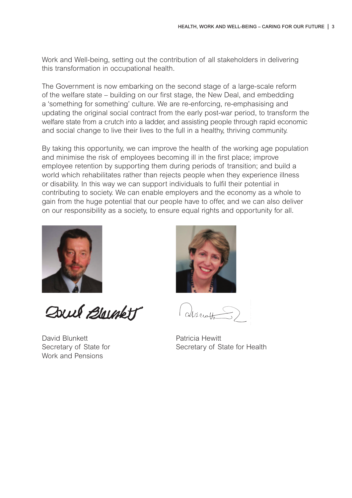Work and Well-being, setting out the contribution of all stakeholders in delivering this transformation in occupational health.

The Government is now embarking on the second stage of a large-scale reform of the welfare state – building on our first stage, the New Deal, and embedding a 'something for something' culture. We are re-enforcing, re-emphasising and updating the original social contract from the early post-war period, to transform the welfare state from a crutch into a ladder, and assisting people through rapid economic and social change to live their lives to the full in a healthy, thriving community.

By taking this opportunity, we can improve the health of the working age population and minimise the risk of employees becoming ill in the first place; improve employee retention by supporting them during periods of transition; and build a world which rehabilitates rather than rejects people when they experience illness or disability. In this way we can support individuals to fulfil their potential in contributing to society. We can enable employers and the economy as a whole to gain from the huge potential that our people have to offer, and we can also deliver on our responsibility as a society, to ensure equal rights and opportunity for all.



Dowl Bloughett

David Blunkett **Patricia Hewitt** Work and Pensions



Secretary of State for Secretary of State for Health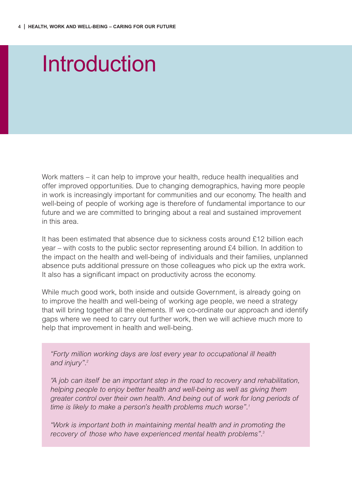## <span id="page-5-0"></span>Introduction

Work matters – it can help to improve your health, reduce health inequalities and offer improved opportunities. Due to changing demographics, having more people in work is increasingly important for communities and our economy. The health and well-being of people of working age is therefore of fundamental importance to our future and we are committed to bringing about a real and sustained improvement in this area.

It has been estimated that absence due to sickness costs around £12 billion each year – with costs to the public sector representing around £4 billion. In addition to the impact on the health and well-being of individuals and their families, unplanned absence puts additional pressure on those colleagues who pick up the extra work. It also has a significant impact on productivity across the economy.

While much good work, both inside and outside Government, is already going on to improve the health and well-being of working age people, we need a strategy that will bring together all the elements. If we co-ordinate our approach and identify gaps where we need to carry out further work, then we will achieve much more to help that improvement in health and well-being.

*"Forty million working days are lost every year to occupational ill health and injury".2*

*"A job can itself be an important step in the road to recovery and rehabilitation, helping people to enjoy better health and well-being as well as giving them greater control over their own health. And being out of work for long periods of time is likely to make a person's health problems much worse".1*

*"Work is important both in maintaining mental health and in promoting the recovery of those who have experienced mental health problems".3*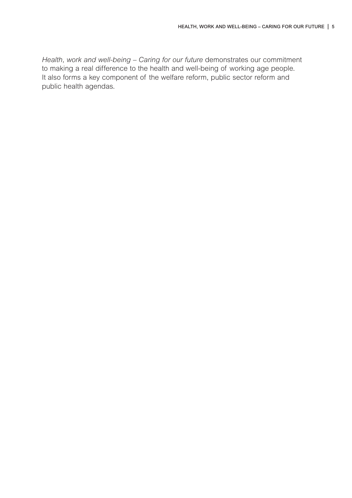*Health, work and well-being – Caring for our future* demonstrates our commitment to making a real difference to the health and well-being of working age people. It also forms a key component of the welfare reform, public sector reform and public health agendas.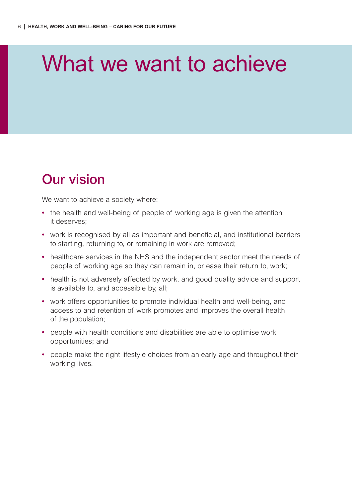## <span id="page-7-0"></span>What we want to achieve

### **Our vision**

We want to achieve a society where:

- **•** the health and well-being of people of working age is given the attention it deserves;
- **•** work is recognised by all as important and beneficial, and institutional barriers to starting, returning to, or remaining in work are removed;
- **•** healthcare services in the NHS and the independent sector meet the needs of people of working age so they can remain in, or ease their return to, work;
- **•** health is not adversely affected by work, and good quality advice and support is available to, and accessible by, all;
- **•** work offers opportunities to promote individual health and well-being, and access to and retention of work promotes and improves the overall health of the population;
- **•** people with health conditions and disabilities are able to optimise work opportunities; and
- **•** people make the right lifestyle choices from an early age and throughout their working lives.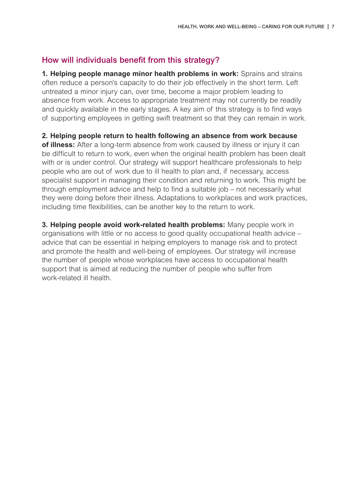#### <span id="page-8-0"></span>**How will individuals benefit from this strategy?**

**1. Helping people manage minor health problems in work:** Sprains and strains often reduce a person's capacity to do their job effectively in the short term. Left untreated a minor injury can, over time, become a major problem leading to absence from work. Access to appropriate treatment may not currently be readily and quickly available in the early stages. A key aim of this strategy is to find ways of supporting employees in getting swift treatment so that they can remain in work.

**2. Helping people return to health following an absence from work because**

**of illness:** After a long-term absence from work caused by illness or injury it can be difficult to return to work, even when the original health problem has been dealt with or is under control. Our strategy will support healthcare professionals to help people who are out of work due to ill health to plan and, if necessary, access specialist support in managing their condition and returning to work. This might be through employment advice and help to find a suitable job – not necessarily what they were doing before their illness. Adaptations to workplaces and work practices, including time flexibilities, can be another key to the return to work.

**3. Helping people avoid work-related health problems:** Many people work in organisations with little or no access to good quality occupational health advice – advice that can be essential in helping employers to manage risk and to protect and promote the health and well-being of employees. Our strategy will increase the number of people whose workplaces have access to occupational health support that is aimed at reducing the number of people who suffer from work-related ill health.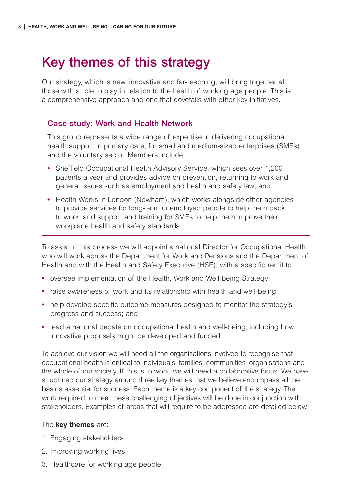## <span id="page-9-0"></span>**Key themes of this strategy**

Our strategy, which is new, innovative and far-reaching, will bring together all those with a role to play in relation to the health of working age people. This is a comprehensive approach and one that dovetails with other key initiatives.

#### **Case study: Work and Health Network**

This group represents a wide range of expertise in delivering occupational health support in primary care, for small and medium-sized enterprises (SMEs) and the voluntary sector. Members include:

- **•** Sheffield Occupational Health Advisory Service, which sees over 1,200 patients a year and provides advice on prevention, returning to work and general issues such as employment and health and safety law; and
- **•** Health Works in London (Newham), which works alongside other agencies to provide services for long-term unemployed people to help them back to work, and support and training for SMEs to help them improve their workplace health and safety standards.

To assist in this process we will appoint a national Director for Occupational Health who will work across the Department for Work and Pensions and the Department of Health and with the Health and Safety Executive (HSE), with a specific remit to:

- **•** oversee implementation of the Health, Work and Well-being Strategy;
- **•** raise awareness of work and its relationship with health and well-being;
- **•** help develop specific outcome measures designed to monitor the strategy's progress and success; and
- **•** lead a national debate on occupational health and well-being, including how innovative proposals might be developed and funded.

To achieve our vision we will need all the organisations involved to recognise that occupational health is critical to individuals, families, communities, organisations and the whole of our society. If this is to work, we will need a collaborative focus. We have structured our strategy around three key themes that we believe encompass all the basics essential for success. Each theme is a key component of the strategy. The work required to meet these challenging objectives will be done in conjunction with stakeholders. Examples of areas that will require to be addressed are detailed below.

#### The **key themes** are:

- 1. Engaging stakeholders
- 2. Improving working lives
- 3. Healthcare for working age people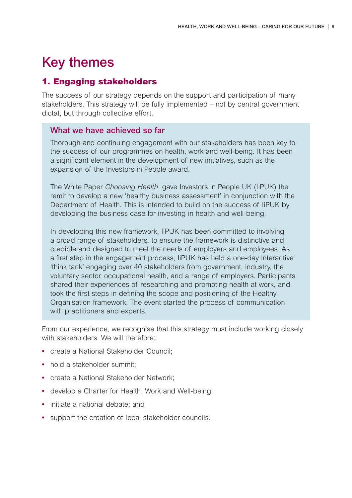### <span id="page-10-0"></span>**Key themes**

#### **1. Engaging stakeholders**

The success of our strategy depends on the support and participation of many stakeholders. This strategy will be fully implemented – not by central government dictat, but through collective effort.

#### **What we have achieved so far**

Thorough and continuing engagement with our stakeholders has been key to the success of our programmes on health, work and well-being. It has been a significant element in the development of new initiatives, such as the expansion of the Investors in People award.

The White Paper *Choosing Health*<sup>1</sup> gave Investors in People UK (IiPUK) the remit to develop a new 'healthy business assessment' in conjunction with the Department of Health. This is intended to build on the success of IiPUK by developing the business case for investing in health and well-being.

In developing this new framework, IiPUK has been committed to involving a broad range of stakeholders, to ensure the framework is distinctive and credible and designed to meet the needs of employers and employees. As a first step in the engagement process, IiPUK has held a one-day interactive 'think tank' engaging over 40 stakeholders from government, industry, the voluntary sector, occupational health, and a range of employers. Participants shared their experiences of researching and promoting health at work, and took the first steps in defining the scope and positioning of the Healthy Organisation framework. The event started the process of communication with practitioners and experts.

From our experience, we recognise that this strategy must include working closely with stakeholders. We will therefore:

- **•** create a National Stakeholder Council;
- hold a stakeholder summit:
- **•** create a National Stakeholder Network;
- **•** develop a Charter for Health, Work and Well-being;
- **•** initiate a national debate; and
- **•** support the creation of local stakeholder councils.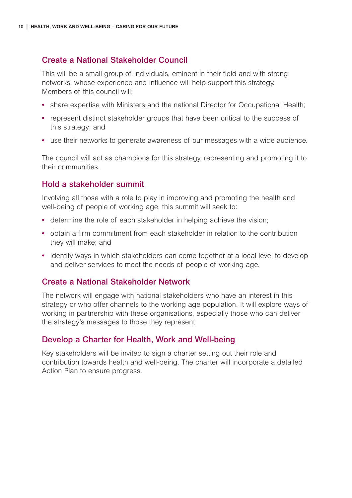#### <span id="page-11-0"></span>**Create a National Stakeholder Council**

This will be a small group of individuals, eminent in their field and with strong networks, whose experience and influence will help support this strategy. Members of this council will:

- **•** share expertise with Ministers and the national Director for Occupational Health;
- **•** represent distinct stakeholder groups that have been critical to the success of this strategy; and
- **•** use their networks to generate awareness of our messages with a wide audience.

The council will act as champions for this strategy, representing and promoting it to their communities.

#### **Hold a stakeholder summit**

Involving all those with a role to play in improving and promoting the health and well-being of people of working age, this summit will seek to:

- **•** determine the role of each stakeholder in helping achieve the vision;
- **•** obtain a firm commitment from each stakeholder in relation to the contribution they will make; and
- **•** identify ways in which stakeholders can come together at a local level to develop and deliver services to meet the needs of people of working age.

#### **Create a National Stakeholder Network**

The network will engage with national stakeholders who have an interest in this strategy or who offer channels to the working age population. It will explore ways of working in partnership with these organisations, especially those who can deliver the strategy's messages to those they represent.

#### **Develop a Charter for Health, Work and Well-being**

Key stakeholders will be invited to sign a charter setting out their role and contribution towards health and well-being. The charter will incorporate a detailed Action Plan to ensure progress.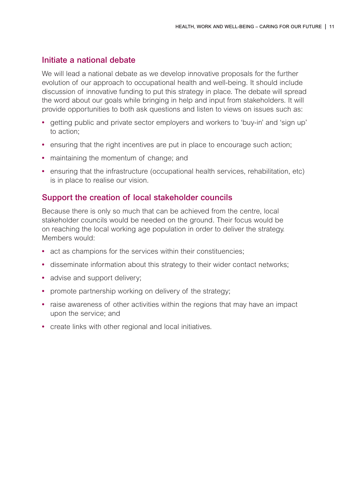#### <span id="page-12-0"></span>**Initiate a national debate**

We will lead a national debate as we develop innovative proposals for the further evolution of our approach to occupational health and well-being. It should include discussion of innovative funding to put this strategy in place. The debate will spread the word about our goals while bringing in help and input from stakeholders. It will provide opportunities to both ask questions and listen to views on issues such as:

- **•** getting public and private sector employers and workers to 'buy-in' and 'sign up' to action;
- **•** ensuring that the right incentives are put in place to encourage such action;
- **•** maintaining the momentum of change; and
- ensuring that the infrastructure (occupational health services, rehabilitation, etc) is in place to realise our vision.

#### **Support the creation of local stakeholder councils**

Because there is only so much that can be achieved from the centre, local stakeholder councils would be needed on the ground. Their focus would be on reaching the local working age population in order to deliver the strategy. Members would:

- **•** act as champions for the services within their constituencies;
- **•** disseminate information about this strategy to their wider contact networks;
- **•** advise and support delivery;
- **•** promote partnership working on delivery of the strategy;
- **•** raise awareness of other activities within the regions that may have an impact upon the service; and
- **•** create links with other regional and local initiatives.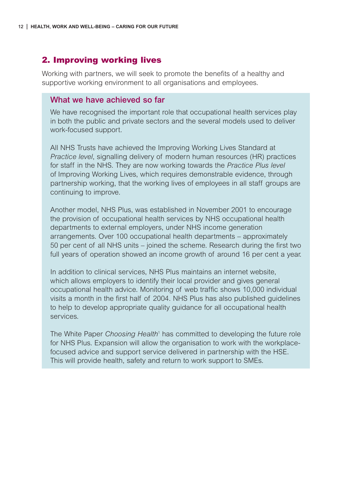#### <span id="page-13-0"></span>**2. Improving working lives**

Working with partners, we will seek to promote the benefits of a healthy and supportive working environment to all organisations and employees.

#### **What we have achieved so far**

We have recognised the important role that occupational health services play in both the public and private sectors and the several models used to deliver work-focused support.

All NHS Trusts have achieved the Improving Working Lives Standard at *Practice level*, signalling delivery of modern human resources (HR) practices for staff in the NHS. They are now working towards the *Practice Plus level* of Improving Working Lives, which requires demonstrable evidence, through partnership working, that the working lives of employees in all staff groups are continuing to improve.

Another model, NHS Plus, was established in November 2001 to encourage the provision of occupational health services by NHS occupational health departments to external employers, under NHS income generation arrangements. Over 100 occupational health departments – approximately 50 per cent of all NHS units – joined the scheme. Research during the first two full years of operation showed an income growth of around 16 per cent a year.

In addition to clinical services, NHS Plus maintains an internet website, which allows employers to identify their local provider and gives general occupational health advice. Monitoring of web traffic shows 10,000 individual visits a month in the first half of 2004. NHS Plus has also published guidelines to help to develop appropriate quality guidance for all occupational health services.

The White Paper *Choosing Health*<sup>1</sup> has committed to developing the future role for NHS Plus. Expansion will allow the organisation to work with the workplacefocused advice and support service delivered in partnership with the HSE. This will provide health, safety and return to work support to SMEs.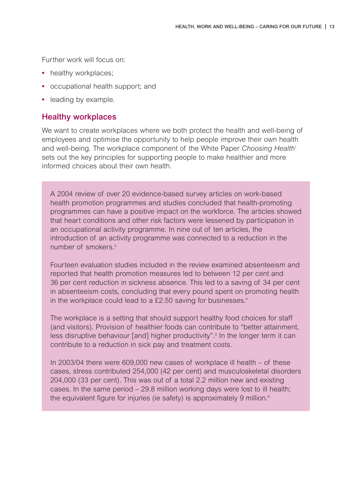<span id="page-14-0"></span>Further work will focus on:

- healthy workplaces;
- **•** occupational health support; and
- **•** leading by example.

#### **Healthy workplaces**

We want to create workplaces where we both protect the health and well-being of employees and optimise the opportunity to help people improve their own health and well-being. The workplace component of the White Paper *Choosing Health*<sup>1</sup> sets out the key principles for supporting people to make healthier and more informed choices about their own health.

A 2004 review of over 20 evidence-based survey articles on work-based health promotion programmes and studies concluded that health-promoting programmes can have a positive impact on the workforce. The articles showed that heart conditions and other risk factors were lessened by participation in an occupational activity programme. In nine out of ten articles, the introduction of an activity programme was connected to a reduction in the number of smokers. 4

Fourteen evaluation studies included in the review examined absenteeism and reported that health promotion measures led to between 12 per cent and 36 per cent reduction in sickness absence. This led to a saving of 34 per cent in absenteeism costs, concluding that every pound spent on promoting health in the workplace could lead to a  $£2.50$  saving for businesses. $4$ 

The workplace is a setting that should support healthy food choices for staff (and visitors). Provision of healthier foods can contribute to "better attainment, less disruptive behaviour [and] higher productivity".<sup>5</sup> In the longer term it can contribute to a reduction in sick pay and treatment costs.

In 2003/04 there were 609,000 new cases of workplace ill health – of these cases, stress contributed 254,000 (42 per cent) and musculoskeletal disorders 204,000 (33 per cent). This was out of a total 2.2 million new and existing cases. In the same period – 29.8 million working days were lost to ill health; the equivalent figure for injuries (ie safety) is approximately 9 million.<sup>6</sup>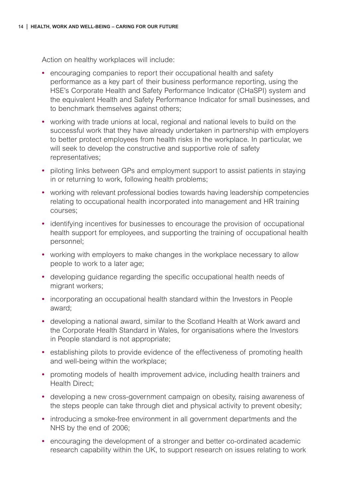Action on healthy workplaces will include:

- **•** encouraging companies to report their occupational health and safety performance as a key part of their business performance reporting, using the HSE's Corporate Health and Safety Performance Indicator (CHaSPI) system and the equivalent Health and Safety Performance Indicator for small businesses, and to benchmark themselves against others;
- **•** working with trade unions at local, regional and national levels to build on the successful work that they have already undertaken in partnership with employers to better protect employees from health risks in the workplace. In particular, we will seek to develop the constructive and supportive role of safety representatives;
- **•** piloting links between GPs and employment support to assist patients in staying in or returning to work, following health problems;
- **•** working with relevant professional bodies towards having leadership competencies relating to occupational health incorporated into management and HR training courses;
- **•** identifying incentives for businesses to encourage the provision of occupational health support for employees, and supporting the training of occupational health personnel;
- **•** working with employers to make changes in the workplace necessary to allow people to work to a later age;
- **•** developing guidance regarding the specific occupational health needs of migrant workers;
- **•** incorporating an occupational health standard within the Investors in People award;
- **•** developing a national award, similar to the Scotland Health at Work award and the Corporate Health Standard in Wales, for organisations where the Investors in People standard is not appropriate;
- **•** establishing pilots to provide evidence of the effectiveness of promoting health and well-being within the workplace;
- **•** promoting models of health improvement advice, including health trainers and Health Direct;
- **•** developing a new cross-government campaign on obesity, raising awareness of the steps people can take through diet and physical activity to prevent obesity;
- **•** introducing a smoke-free environment in all government departments and the NHS by the end of 2006;
- **•** encouraging the development of a stronger and better co-ordinated academic research capability within the UK, to support research on issues relating to work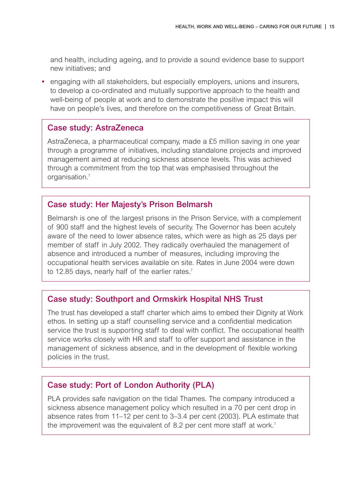and health, including ageing, and to provide a sound evidence base to support new initiatives; and

**•** engaging with all stakeholders, but especially employers, unions and insurers, to develop a co-ordinated and mutually supportive approach to the health and well-being of people at work and to demonstrate the positive impact this will have on people's lives, and therefore on the competitiveness of Great Britain.

#### **Case study: AstraZeneca**

AstraZeneca, a pharmaceutical company, made a £5 million saving in one year through a programme of initiatives, including standalone projects and improved management aimed at reducing sickness absence levels. This was achieved through a commitment from the top that was emphasised throughout the organisation.7

#### **Case study: Her Majesty's Prison Belmarsh**

Belmarsh is one of the largest prisons in the Prison Service, with a complement of 900 staff and the highest levels of security. The Governor has been acutely aware of the need to lower absence rates, which were as high as 25 days per member of staff in July 2002. They radically overhauled the management of absence and introduced a number of measures, including improving the occupational health services available on site. Rates in June 2004 were down to 12.85 days, nearly half of the earlier rates.<sup>7</sup>

#### **Case study: Southport and Ormskirk Hospital NHS Trust**

The trust has developed a staff charter which aims to embed their Dignity at Work ethos. In setting up a staff counselling service and a confidential medication service the trust is supporting staff to deal with conflict. The occupational health service works closely with HR and staff to offer support and assistance in the management of sickness absence, and in the development of flexible working policies in the trust.

#### **Case study: Port of London Authority (PLA)**

PLA provides safe navigation on the tidal Thames. The company introduced a sickness absence management policy which resulted in a 70 per cent drop in absence rates from 11–12 per cent to 3–3.4 per cent (2003). PLA estimate that the improvement was the equivalent of 8.2 per cent more staff at work.<sup>7</sup>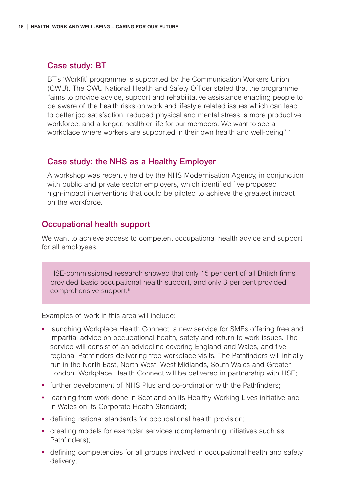#### <span id="page-17-0"></span>**Case study: BT**

BT's 'Workfit' programme is supported by the Communication Workers Union (CWU). The CWU National Health and Safety Officer stated that the programme "aims to provide advice, support and rehabilitative assistance enabling people to be aware of the health risks on work and lifestyle related issues which can lead to better job satisfaction, reduced physical and mental stress, a more productive workforce, and a longer, healthier life for our members. We want to see a workplace where workers are supported in their own health and well-being".<sup>7</sup>

#### **Case study: the NHS as a Healthy Employer**

A workshop was recently held by the NHS Modernisation Agency, in conjunction with public and private sector employers, which identified five proposed high-impact interventions that could be piloted to achieve the greatest impact on the workforce.

#### **Occupational health support**

We want to achieve access to competent occupational health advice and support for all employees.

HSE-commissioned research showed that only 15 per cent of all British firms provided basic occupational health support, and only 3 per cent provided comprehensive support.8

Examples of work in this area will include:

- **•** launching Workplace Health Connect, a new service for SMEs offering free and impartial advice on occupational health, safety and return to work issues. The service will consist of an adviceline covering England and Wales, and five regional Pathfinders delivering free workplace visits. The Pathfinders will initially run in the North East, North West, West Midlands, South Wales and Greater London. Workplace Health Connect will be delivered in partnership with HSE;
- **•** further development of NHS Plus and co-ordination with the Pathfinders;
- **•** learning from work done in Scotland on its Healthy Working Lives initiative and in Wales on its Corporate Health Standard;
- **•** defining national standards for occupational health provision;
- **•** creating models for exemplar services (complementing initiatives such as Pathfinders);
- **•** defining competencies for all groups involved in occupational health and safety delivery;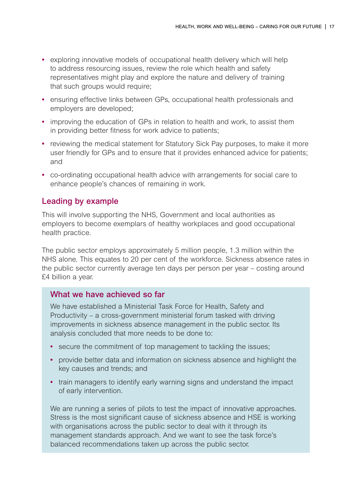- <span id="page-18-0"></span>**•** exploring innovative models of occupational health delivery which will help to address resourcing issues, review the role which health and safety representatives might play and explore the nature and delivery of training that such groups would require;
- **•** ensuring effective links between GPs, occupational health professionals and employers are developed;
- **•** improving the education of GPs in relation to health and work, to assist them in providing better fitness for work advice to patients;
- **•** reviewing the medical statement for Statutory Sick Pay purposes, to make it more user friendly for GPs and to ensure that it provides enhanced advice for patients; and
- **•** co-ordinating occupational health advice with arrangements for social care to enhance people's chances of remaining in work.

#### **Leading by example**

This will involve supporting the NHS, Government and local authorities as employers to become exemplars of healthy workplaces and good occupational health practice.

The public sector employs approximately 5 million people, 1.3 million within the NHS alone. This equates to 20 per cent of the workforce. Sickness absence rates in the public sector currently average ten days per person per year – costing around £4 billion a year.

#### **What we have achieved so far**

We have established a Ministerial Task Force for Health, Safety and Productivity – a cross-government ministerial forum tasked with driving improvements in sickness absence management in the public sector. Its analysis concluded that more needs to be done to:

- **•** secure the commitment of top management to tackling the issues;
- **•** provide better data and information on sickness absence and highlight the key causes and trends; and
- **•** train managers to identify early warning signs and understand the impact of early intervention.

We are running a series of pilots to test the impact of innovative approaches. Stress is the most significant cause of sickness absence and HSE is working with organisations across the public sector to deal with it through its management standards approach. And we want to see the task force's balanced recommendations taken up across the public sector.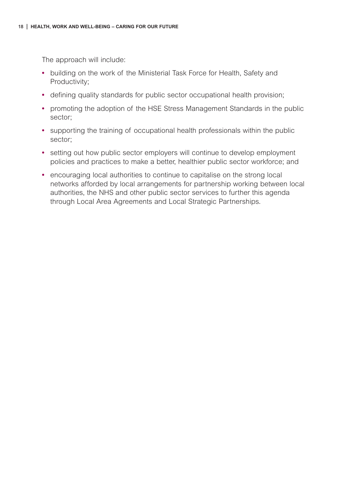The approach will include:

- **•** building on the work of the Ministerial Task Force for Health, Safety and Productivity;
- **•** defining quality standards for public sector occupational health provision;
- **•** promoting the adoption of the HSE Stress Management Standards in the public sector;
- **•** supporting the training of occupational health professionals within the public sector;
- **•** setting out how public sector employers will continue to develop employment policies and practices to make a better, healthier public sector workforce; and
- **•** encouraging local authorities to continue to capitalise on the strong local networks afforded by local arrangements for partnership working between local authorities, the NHS and other public sector services to further this agenda through Local Area Agreements and Local Strategic Partnerships.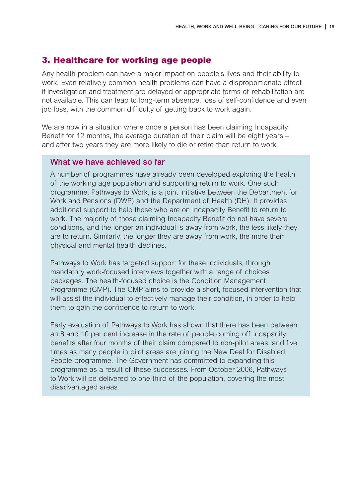#### <span id="page-20-0"></span>**3. Healthcare for working age people**

Any health problem can have a major impact on people's lives and their ability to work. Even relatively common health problems can have a disproportionate effect if investigation and treatment are delayed or appropriate forms of rehabilitation are not available. This can lead to long-term absence, loss of self-confidence and even job loss, with the common difficulty of getting back to work again.

We are now in a situation where once a person has been claiming Incapacity Benefit for 12 months, the average duration of their claim will be eight years – and after two years they are more likely to die or retire than return to work.

#### **What we have achieved so far**

A number of programmes have already been developed exploring the health of the working age population and supporting return to work. One such programme, Pathways to Work, is a joint initiative between the Department for Work and Pensions (DWP) and the Department of Health (DH). It provides additional support to help those who are on Incapacity Benefit to return to work. The majority of those claiming Incapacity Benefit do not have severe conditions, and the longer an individual is away from work, the less likely they are to return. Similarly, the longer they are away from work, the more their physical and mental health declines.

Pathways to Work has targeted support for these individuals, through mandatory work-focused interviews together with a range of choices packages. The health-focused choice is the Condition Management Programme (CMP). The CMP aims to provide a short, focused intervention that will assist the individual to effectively manage their condition, in order to help them to gain the confidence to return to work.

Early evaluation of Pathways to Work has shown that there has been between an 8 and 10 per cent increase in the rate of people coming off incapacity benefits after four months of their claim compared to non-pilot areas, and five times as many people in pilot areas are joining the New Deal for Disabled People programme. The Government has committed to expanding this programme as a result of these successes. From October 2006, Pathways to Work will be delivered to one-third of the population, covering the most disadvantaged areas.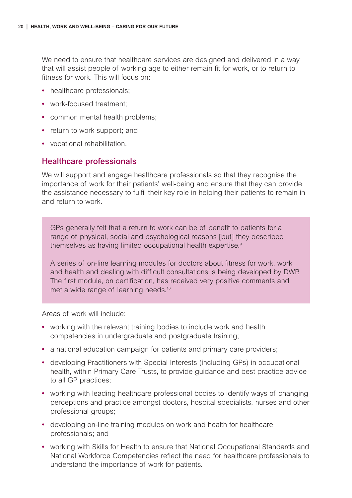<span id="page-21-0"></span>We need to ensure that healthcare services are designed and delivered in a way that will assist people of working age to either remain fit for work, or to return to fitness for work. This will focus on:

- **•** healthcare professionals;
- **•** work-focused treatment;
- **•** common mental health problems;
- **•** return to work support; and
- **•** vocational rehabilitation.

#### **Healthcare professionals**

We will support and engage healthcare professionals so that they recognise the importance of work for their patients' well-being and ensure that they can provide the assistance necessary to fulfil their key role in helping their patients to remain in and return to work.

GPs generally felt that a return to work can be of benefit to patients for a range of physical, social and psychological reasons [but] they described themselves as having limited occupational health expertise.<sup>9</sup>

A series of on-line learning modules for doctors about fitness for work, work and health and dealing with difficult consultations is being developed by DWP. The first module, on certification, has received very positive comments and met a wide range of learning needs.<sup>10</sup>

Areas of work will include:

- **•** working with the relevant training bodies to include work and health competencies in undergraduate and postgraduate training;
- a national education campaign for patients and primary care providers;
- **•** developing Practitioners with Special Interests (including GPs) in occupational health, within Primary Care Trusts, to provide guidance and best practice advice to all GP practices;
- **•** working with leading healthcare professional bodies to identify ways of changing perceptions and practice amongst doctors, hospital specialists, nurses and other professional groups;
- **•** developing on-line training modules on work and health for healthcare professionals; and
- **•** working with Skills for Health to ensure that National Occupational Standards and National Workforce Competencies reflect the need for healthcare professionals to understand the importance of work for patients.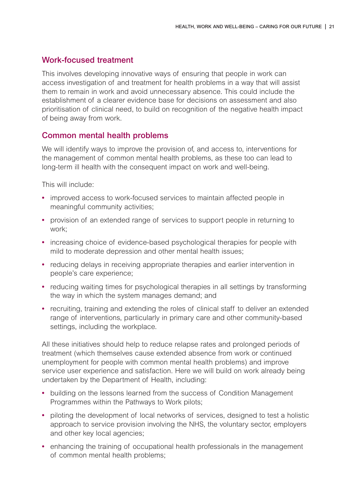#### <span id="page-22-0"></span>**Work-focused treatment**

This involves developing innovative ways of ensuring that people in work can access investigation of and treatment for health problems in a way that will assist them to remain in work and avoid unnecessary absence. This could include the establishment of a clearer evidence base for decisions on assessment and also prioritisation of clinical need, to build on recognition of the negative health impact of being away from work.

#### **Common mental health problems**

We will identify ways to improve the provision of, and access to, interventions for the management of common mental health problems, as these too can lead to long-term ill health with the consequent impact on work and well-being.

This will include:

- **•** improved access to work-focused services to maintain affected people in meaningful community activities;
- **•** provision of an extended range of services to support people in returning to work;
- **•** increasing choice of evidence-based psychological therapies for people with mild to moderate depression and other mental health issues;
- **•** reducing delays in receiving appropriate therapies and earlier intervention in people's care experience;
- reducing waiting times for psychological therapies in all settings by transforming the way in which the system manages demand; and
- **•** recruiting, training and extending the roles of clinical staff to deliver an extended range of interventions, particularly in primary care and other community-based settings, including the workplace.

All these initiatives should help to reduce relapse rates and prolonged periods of treatment (which themselves cause extended absence from work or continued unemployment for people with common mental health problems) and improve service user experience and satisfaction. Here we will build on work already being undertaken by the Department of Health, including:

- **•** building on the lessons learned from the success of Condition Management Programmes within the Pathways to Work pilots;
- **•** piloting the development of local networks of services, designed to test a holistic approach to service provision involving the NHS, the voluntary sector, employers and other key local agencies;
- **•** enhancing the training of occupational health professionals in the management of common mental health problems;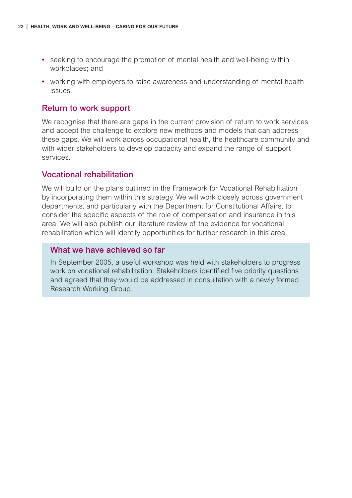- <span id="page-23-0"></span>**•** seeking to encourage the promotion of mental health and well-being within workplaces; and
- **•** working with employers to raise awareness and understanding of mental health issues.

#### **Return to work support**

We recognise that there are gaps in the current provision of return to work services and accept the challenge to explore new methods and models that can address these gaps. We will work across occupational health, the healthcare community and with wider stakeholders to develop capacity and expand the range of support services.

#### **Vocational rehabilitation**

We will build on the plans outlined in the Framework for Vocational Rehabilitation by incorporating them within this strategy. We will work closely across government departments, and particularly with the Department for Constitutional Affairs, to consider the specific aspects of the role of compensation and insurance in this area. We will also publish our literature review of the evidence for vocational rehabilitation which will identify opportunities for further research in this area.

#### **What we have achieved so far**

In September 2005, a useful workshop was held with stakeholders to progress work on vocational rehabilitation. Stakeholders identified five priority questions and agreed that they would be addressed in consultation with a newly formed Research Working Group.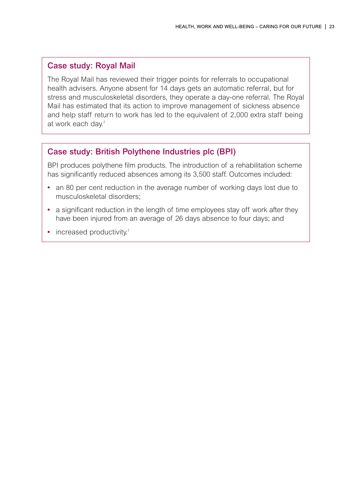#### **Case study: Royal Mail**

The Royal Mail has reviewed their trigger points for referrals to occupational health advisers. Anyone absent for 14 days gets an automatic referral, but for stress and musculoskeletal disorders, they operate a day-one referral. The Royal Mail has estimated that its action to improve management of sickness absence and help staff return to work has led to the equivalent of 2,000 extra staff being at work each day.<sup>7</sup>

#### **Case study: British Polythene Industries plc (BPI)**

BPI produces polythene film products. The introduction of a rehabilitation scheme has significantly reduced absences among its 3,500 staff. Outcomes included:

- **•** an 80 per cent reduction in the average number of working days lost due to musculoskeletal disorders;
- **•** a significant reduction in the length of time employees stay off work after they have been injured from an average of 26 days absence to four days; and
- increased productivity.7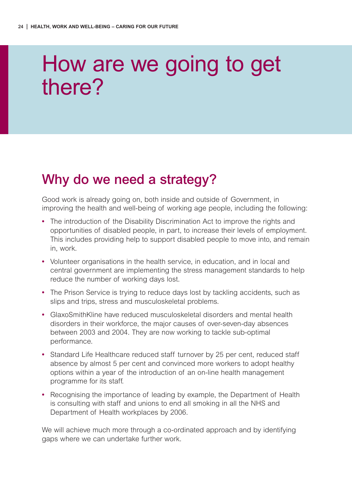## <span id="page-25-0"></span>How are we going to get there?

### **Why do we need a strategy?**

Good work is already going on, both inside and outside of Government, in improving the health and well-being of working age people, including the following:

- **•** The introduction of the Disability Discrimination Act to improve the rights and opportunities of disabled people, in part, to increase their levels of employment. This includes providing help to support disabled people to move into, and remain in, work.
- **•** Volunteer organisations in the health service, in education, and in local and central government are implementing the stress management standards to help reduce the number of working days lost.
- **•** The Prison Service is trying to reduce days lost by tackling accidents, such as slips and trips, stress and musculoskeletal problems.
- **•** GlaxoSmithKline have reduced musculoskeletal disorders and mental health disorders in their workforce, the major causes of over-seven-day absences between 2003 and 2004. They are now working to tackle sub-optimal performance.
- **•** Standard Life Healthcare reduced staff turnover by 25 per cent, reduced staff absence by almost 5 per cent and convinced more workers to adopt healthy options within a year of the introduction of an on-line health management programme for its staff.
- **•** Recognising the importance of leading by example, the Department of Health is consulting with staff and unions to end all smoking in all the NHS and Department of Health workplaces by 2006.

We will achieve much more through a co-ordinated approach and by identifying gaps where we can undertake further work.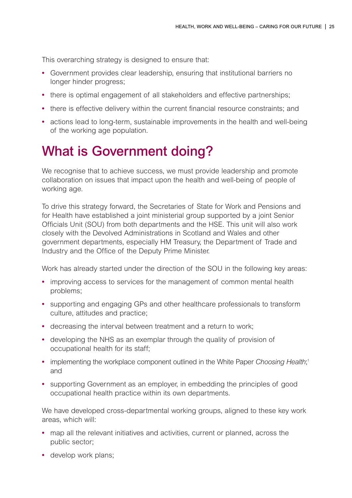<span id="page-26-0"></span>This overarching strategy is designed to ensure that:

- **•** Government provides clear leadership, ensuring that institutional barriers no longer hinder progress;
- **•** there is optimal engagement of all stakeholders and effective partnerships;
- **•** there is effective delivery within the current financial resource constraints; and
- **•** actions lead to long-term, sustainable improvements in the health and well-being of the working age population.

### **What is Government doing?**

We recognise that to achieve success, we must provide leadership and promote collaboration on issues that impact upon the health and well-being of people of working age.

To drive this strategy forward, the Secretaries of State for Work and Pensions and for Health have established a joint ministerial group supported by a joint Senior Officials Unit (SOU) from both departments and the HSE. This unit will also work closely with the Devolved Administrations in Scotland and Wales and other government departments, especially HM Treasury, the Department of Trade and Industry and the Office of the Deputy Prime Minister.

Work has already started under the direction of the SOU in the following key areas:

- **•** improving access to services for the management of common mental health problems;
- **•** supporting and engaging GPs and other healthcare professionals to transform culture, attitudes and practice;
- **•** decreasing the interval between treatment and a return to work;
- **•** developing the NHS as an exemplar through the quality of provision of occupational health for its staff;
- implementing the workplace component outlined in the White Paper Choosing Health;<sup>1</sup> and
- **•** supporting Government as an employer, in embedding the principles of good occupational health practice within its own departments.

We have developed cross-departmental working groups, aligned to these key work areas, which will:

- **•** map all the relevant initiatives and activities, current or planned, across the public sector;
- **•** develop work plans;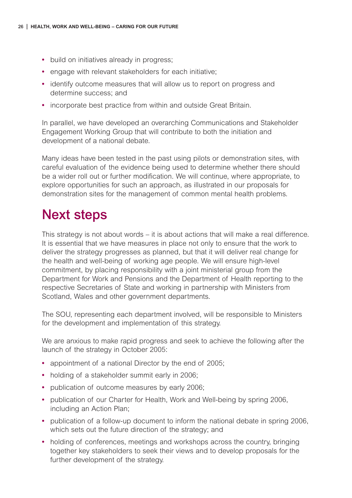- <span id="page-27-0"></span>**•** build on initiatives already in progress;
- **•** engage with relevant stakeholders for each initiative;
- **•** identify outcome measures that will allow us to report on progress and determine success; and
- **•** incorporate best practice from within and outside Great Britain.

In parallel, we have developed an overarching Communications and Stakeholder Engagement Working Group that will contribute to both the initiation and development of a national debate.

Many ideas have been tested in the past using pilots or demonstration sites, with careful evaluation of the evidence being used to determine whether there should be a wider roll out or further modification. We will continue, where appropriate, to explore opportunities for such an approach, as illustrated in our proposals for demonstration sites for the management of common mental health problems.

### **Next steps**

This strategy is not about words – it is about actions that will make a real difference. It is essential that we have measures in place not only to ensure that the work to deliver the strategy progresses as planned, but that it will deliver real change for the health and well-being of working age people. We will ensure high-level commitment, by placing responsibility with a joint ministerial group from the Department for Work and Pensions and the Department of Health reporting to the respective Secretaries of State and working in partnership with Ministers from Scotland, Wales and other government departments.

The SOU, representing each department involved, will be responsible to Ministers for the development and implementation of this strategy.

We are anxious to make rapid progress and seek to achieve the following after the launch of the strategy in October 2005:

- **•** appointment of a national Director by the end of 2005;
- holding of a stakeholder summit early in 2006;
- **•** publication of outcome measures by early 2006;
- **•** publication of our Charter for Health, Work and Well-being by spring 2006, including an Action Plan;
- **•** publication of a follow-up document to inform the national debate in spring 2006, which sets out the future direction of the strategy; and
- holding of conferences, meetings and workshops across the country, bringing together key stakeholders to seek their views and to develop proposals for the further development of the strategy.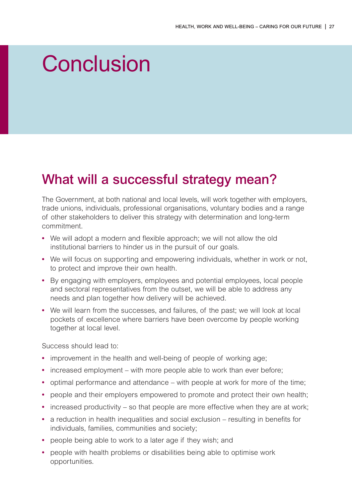## <span id="page-28-0"></span>**Conclusion**

### **What will a successful strategy mean?**

The Government, at both national and local levels, will work together with employers, trade unions, individuals, professional organisations, voluntary bodies and a range of other stakeholders to deliver this strategy with determination and long-term commitment.

- **•** We will adopt a modern and flexible approach; we will not allow the old institutional barriers to hinder us in the pursuit of our goals.
- **•** We will focus on supporting and empowering individuals, whether in work or not, to protect and improve their own health.
- **•** By engaging with employers, employees and potential employees, local people and sectoral representatives from the outset, we will be able to address any needs and plan together how delivery will be achieved.
- **•** We will learn from the successes, and failures, of the past; we will look at local pockets of excellence where barriers have been overcome by people working together at local level.

Success should lead to:

- **•** improvement in the health and well-being of people of working age;
- increased employment with more people able to work than ever before;
- **•** optimal performance and attendance with people at work for more of the time;
- **•** people and their employers empowered to promote and protect their own health;
- increased productivity so that people are more effective when they are at work;
- **•** a reduction in health inequalities and social exclusion resulting in benefits for individuals, families, communities and society;
- **•** people being able to work to a later age if they wish; and
- **•** people with health problems or disabilities being able to optimise work opportunities.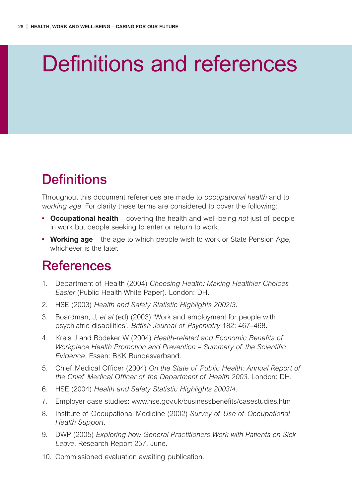# <span id="page-29-0"></span>Definitions and references

## **Definitions**

Throughout this document references are made to *occupational health* and to *working age*. For clarity these terms are considered to cover the following:

- **• Occupational health** covering the health and well-being *not* just of people in work but people seeking to enter or return to work.
- **• Working age** the age to which people wish to work or State Pension Age, whichever is the later.

### **References**

- 1. Department of Health (2004) *Choosing Health: Making Healthier Choices Easier* (Public Health White Paper). London: DH.
- 2. HSE (2003) *Health and Safety Statistic Highlights 2002/3.*
- 3. Boardman, J, *et al* (ed) (2003) 'Work and employment for people with psychiatric disabilities'. *British Journal of Psychiatry* 182: 467–468.
- 4. Kreis J and Bödeker W (2004) *Health-related and Economic Benefits of Workplace Health Promotion and Prevention – Summary of the Scientific Evidence*. Essen: BKK Bundesverband.
- 5. Chief Medical Officer (2004) *On the State of Public Health: Annual Report of the Chief Medical Officer of the Department of Health 2003*. London: DH.
- 6. HSE (2004) *Health and Safety Statistic Highlights 2003/4*.
- 7. Employer case studies: www.hse.gov.uk/businessbenefits/casestudies.htm
- 8. Institute of Occupational Medicine (2002) *Survey of Use of Occupational Health Support.*
- 9. DWP (2005) *Exploring how General Practitioners Work with Patients on Sick Leave*. Research Report 257, June.
- 10. Commissioned evaluation awaiting publication.